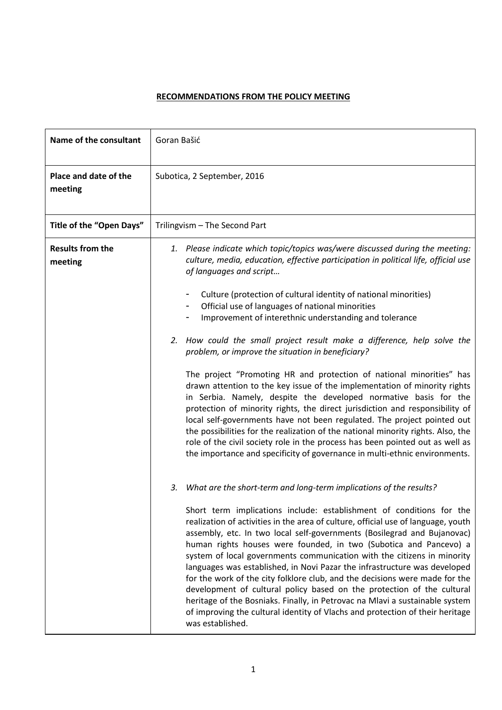## **RECOMMENDATIONS FROM THE POLICY MEETING**

| Name of the consultant             | Goran Bašić                                                                                                                                                                                                                                                                                                                                                                                                                                                                                                                                                                                                                                                                                                                                                                                                                                                                                                                                                                                                                                                                                                                                                                                                                                                                                                                                                                                                                                                                                                                                        |
|------------------------------------|----------------------------------------------------------------------------------------------------------------------------------------------------------------------------------------------------------------------------------------------------------------------------------------------------------------------------------------------------------------------------------------------------------------------------------------------------------------------------------------------------------------------------------------------------------------------------------------------------------------------------------------------------------------------------------------------------------------------------------------------------------------------------------------------------------------------------------------------------------------------------------------------------------------------------------------------------------------------------------------------------------------------------------------------------------------------------------------------------------------------------------------------------------------------------------------------------------------------------------------------------------------------------------------------------------------------------------------------------------------------------------------------------------------------------------------------------------------------------------------------------------------------------------------------------|
| Place and date of the<br>meeting   | Subotica, 2 September, 2016                                                                                                                                                                                                                                                                                                                                                                                                                                                                                                                                                                                                                                                                                                                                                                                                                                                                                                                                                                                                                                                                                                                                                                                                                                                                                                                                                                                                                                                                                                                        |
| Title of the "Open Days"           | Trilingvism - The Second Part                                                                                                                                                                                                                                                                                                                                                                                                                                                                                                                                                                                                                                                                                                                                                                                                                                                                                                                                                                                                                                                                                                                                                                                                                                                                                                                                                                                                                                                                                                                      |
| <b>Results from the</b><br>meeting | 1. Please indicate which topic/topics was/were discussed during the meeting:<br>culture, media, education, effective participation in political life, official use<br>of languages and script<br>Culture (protection of cultural identity of national minorities)<br>Official use of languages of national minorities<br>Improvement of interethnic understanding and tolerance<br>How could the small project result make a difference, help solve the<br>2.<br>problem, or improve the situation in beneficiary?<br>The project "Promoting HR and protection of national minorities" has<br>drawn attention to the key issue of the implementation of minority rights<br>in Serbia. Namely, despite the developed normative basis for the<br>protection of minority rights, the direct jurisdiction and responsibility of<br>local self-governments have not been regulated. The project pointed out<br>the possibilities for the realization of the national minority rights. Also, the<br>role of the civil society role in the process has been pointed out as well as<br>the importance and specificity of governance in multi-ethnic environments.<br>What are the short-term and long-term implications of the results?<br>3.<br>Short term implications include: establishment of conditions for the<br>realization of activities in the area of culture, official use of language, youth<br>assembly, etc. In two local self-governments (Bosilegrad and Bujanovac)<br>human rights houses were founded, in two (Subotica and Pancevo) a |
|                                    | system of local governments communication with the citizens in minority<br>languages was established, in Novi Pazar the infrastructure was developed<br>for the work of the city folklore club, and the decisions were made for the<br>development of cultural policy based on the protection of the cultural<br>heritage of the Bosniaks. Finally, in Petrovac na Mlavi a sustainable system<br>of improving the cultural identity of Vlachs and protection of their heritage<br>was established.                                                                                                                                                                                                                                                                                                                                                                                                                                                                                                                                                                                                                                                                                                                                                                                                                                                                                                                                                                                                                                                 |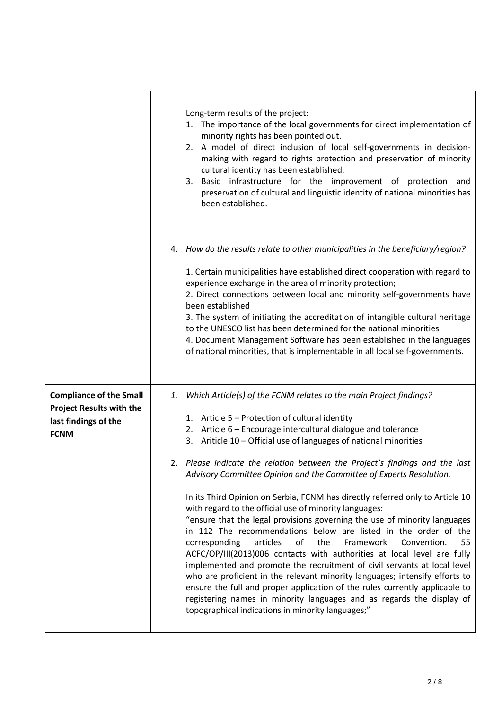|                                                                                                          | Long-term results of the project:<br>1. The importance of the local governments for direct implementation of<br>minority rights has been pointed out.<br>2. A model of direct inclusion of local self-governments in decision-<br>making with regard to rights protection and preservation of minority<br>cultural identity has been established.<br>3. Basic infrastructure for the improvement of protection and<br>preservation of cultural and linguistic identity of national minorities has<br>been established.                                                                                                                                                                                                                                                                                                                                                                                                                                                                                                                                                                                                                                                                                                                           |
|----------------------------------------------------------------------------------------------------------|--------------------------------------------------------------------------------------------------------------------------------------------------------------------------------------------------------------------------------------------------------------------------------------------------------------------------------------------------------------------------------------------------------------------------------------------------------------------------------------------------------------------------------------------------------------------------------------------------------------------------------------------------------------------------------------------------------------------------------------------------------------------------------------------------------------------------------------------------------------------------------------------------------------------------------------------------------------------------------------------------------------------------------------------------------------------------------------------------------------------------------------------------------------------------------------------------------------------------------------------------|
|                                                                                                          | 4. How do the results relate to other municipalities in the beneficiary/region?<br>1. Certain municipalities have established direct cooperation with regard to<br>experience exchange in the area of minority protection;<br>2. Direct connections between local and minority self-governments have<br>been established<br>3. The system of initiating the accreditation of intangible cultural heritage<br>to the UNESCO list has been determined for the national minorities<br>4. Document Management Software has been established in the languages<br>of national minorities, that is implementable in all local self-governments.                                                                                                                                                                                                                                                                                                                                                                                                                                                                                                                                                                                                         |
| <b>Compliance of the Small</b><br><b>Project Results with the</b><br>last findings of the<br><b>FCNM</b> | Which Article(s) of the FCNM relates to the main Project findings?<br>1.<br>1. Article 5 - Protection of cultural identity<br>2. Article 6 - Encourage intercultural dialogue and tolerance<br>3. Ariticle 10 - Official use of languages of national minorities<br>2. Please indicate the relation between the Project's findings and the last<br>Advisory Committee Opinion and the Committee of Experts Resolution.<br>In its Third Opinion on Serbia, FCNM has directly referred only to Article 10<br>with regard to the official use of minority languages:<br>"ensure that the legal provisions governing the use of minority languages<br>in 112 The recommendations below are listed in the order of the<br>of<br>corresponding<br>articles<br>the<br>Framework<br>Convention.<br>55<br>ACFC/OP/III(2013)006 contacts with authorities at local level are fully<br>implemented and promote the recruitment of civil servants at local level<br>who are proficient in the relevant minority languages; intensify efforts to<br>ensure the full and proper application of the rules currently applicable to<br>registering names in minority languages and as regards the display of<br>topographical indications in minority languages;" |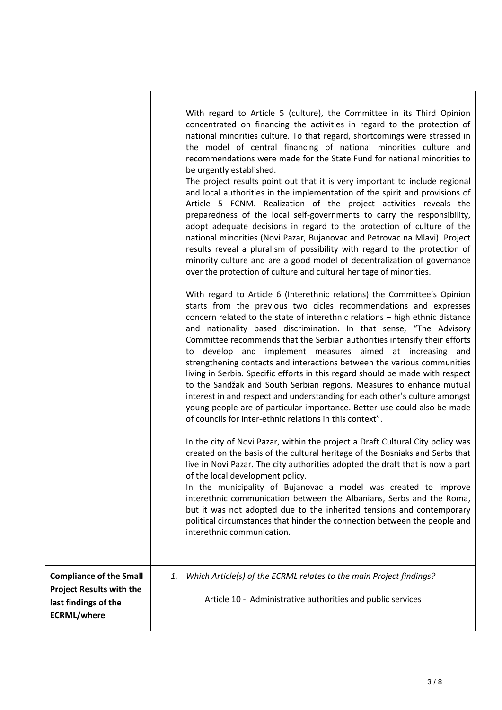|                                                                                                                 | With regard to Article 5 (culture), the Committee in its Third Opinion<br>concentrated on financing the activities in regard to the protection of<br>national minorities culture. To that regard, shortcomings were stressed in<br>the model of central financing of national minorities culture and<br>recommendations were made for the State Fund for national minorities to<br>be urgently established.<br>The project results point out that it is very important to include regional<br>and local authorities in the implementation of the spirit and provisions of<br>Article 5 FCNM. Realization of the project activities reveals the<br>preparedness of the local self-governments to carry the responsibility,<br>adopt adequate decisions in regard to the protection of culture of the<br>national minorities (Novi Pazar, Bujanovac and Petrovac na Mlavi). Project<br>results reveal a pluralism of possibility with regard to the protection of<br>minority culture and are a good model of decentralization of governance<br>over the protection of culture and cultural heritage of minorities. |
|-----------------------------------------------------------------------------------------------------------------|-------------------------------------------------------------------------------------------------------------------------------------------------------------------------------------------------------------------------------------------------------------------------------------------------------------------------------------------------------------------------------------------------------------------------------------------------------------------------------------------------------------------------------------------------------------------------------------------------------------------------------------------------------------------------------------------------------------------------------------------------------------------------------------------------------------------------------------------------------------------------------------------------------------------------------------------------------------------------------------------------------------------------------------------------------------------------------------------------------------------|
|                                                                                                                 | With regard to Article 6 (Interethnic relations) the Committee's Opinion<br>starts from the previous two cicles recommendations and expresses<br>concern related to the state of interethnic relations - high ethnic distance<br>and nationality based discrimination. In that sense, "The Advisory<br>Committee recommends that the Serbian authorities intensify their efforts<br>to develop and implement measures aimed at increasing and<br>strengthening contacts and interactions between the various communities<br>living in Serbia. Specific efforts in this regard should be made with respect<br>to the Sandžak and South Serbian regions. Measures to enhance mutual<br>interest in and respect and understanding for each other's culture amongst<br>young people are of particular importance. Better use could also be made<br>of councils for inter-ethnic relations in this context".                                                                                                                                                                                                           |
|                                                                                                                 | In the city of Novi Pazar, within the project a Draft Cultural City policy was<br>created on the basis of the cultural heritage of the Bosniaks and Serbs that<br>live in Novi Pazar. The city authorities adopted the draft that is now a part<br>of the local development policy.<br>In the municipality of Bujanovac a model was created to improve<br>interethnic communication between the Albanians, Serbs and the Roma,<br>but it was not adopted due to the inherited tensions and contemporary<br>political circumstances that hinder the connection between the people and<br>interethnic communication.                                                                                                                                                                                                                                                                                                                                                                                                                                                                                                |
| <b>Compliance of the Small</b><br><b>Project Results with the</b><br>last findings of the<br><b>ECRML/where</b> | Which Article(s) of the ECRML relates to the main Project findings?<br>1.<br>Article 10 - Administrative authorities and public services                                                                                                                                                                                                                                                                                                                                                                                                                                                                                                                                                                                                                                                                                                                                                                                                                                                                                                                                                                          |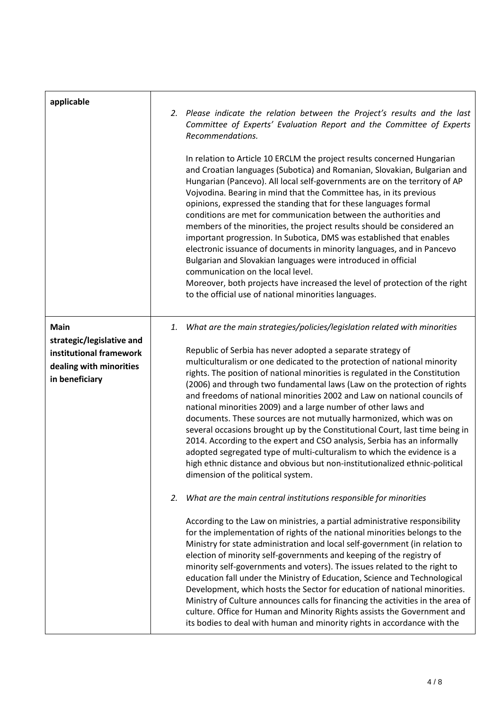| applicable                                                                                                | 2. Please indicate the relation between the Project's results and the last<br>Committee of Experts' Evaluation Report and the Committee of Experts<br>Recommendations.<br>In relation to Article 10 ERCLM the project results concerned Hungarian<br>and Croatian languages (Subotica) and Romanian, Slovakian, Bulgarian and<br>Hungarian (Pancevo). All local self-governments are on the territory of AP<br>Vojvodina. Bearing in mind that the Committee has, in its previous<br>opinions, expressed the standing that for these languages formal<br>conditions are met for communication between the authorities and<br>members of the minorities, the project results should be considered an<br>important progression. In Subotica, DMS was established that enables<br>electronic issuance of documents in minority languages, and in Pancevo<br>Bulgarian and Slovakian languages were introduced in official<br>communication on the local level.<br>Moreover, both projects have increased the level of protection of the right<br>to the official use of national minorities languages. |
|-----------------------------------------------------------------------------------------------------------|-----------------------------------------------------------------------------------------------------------------------------------------------------------------------------------------------------------------------------------------------------------------------------------------------------------------------------------------------------------------------------------------------------------------------------------------------------------------------------------------------------------------------------------------------------------------------------------------------------------------------------------------------------------------------------------------------------------------------------------------------------------------------------------------------------------------------------------------------------------------------------------------------------------------------------------------------------------------------------------------------------------------------------------------------------------------------------------------------------|
| Main<br>strategic/legislative and<br>institutional framework<br>dealing with minorities<br>in beneficiary | What are the main strategies/policies/legislation related with minorities<br>1.<br>Republic of Serbia has never adopted a separate strategy of<br>multiculturalism or one dedicated to the protection of national minority<br>rights. The position of national minorities is regulated in the Constitution<br>(2006) and through two fundamental laws (Law on the protection of rights<br>and freedoms of national minorities 2002 and Law on national councils of<br>national minorities 2009) and a large number of other laws and<br>documents. These sources are not mutually harmonized, which was on<br>several occasions brought up by the Constitutional Court, last time being in<br>2014. According to the expert and CSO analysis, Serbia has an informally<br>adopted segregated type of multi-culturalism to which the evidence is a<br>high ethnic distance and obvious but non-institutionalized ethnic-political<br>dimension of the political system.                                                                                                                              |
|                                                                                                           | What are the main central institutions responsible for minorities<br>2.<br>According to the Law on ministries, a partial administrative responsibility<br>for the implementation of rights of the national minorities belongs to the<br>Ministry for state administration and local self-government (in relation to<br>election of minority self-governments and keeping of the registry of<br>minority self-governments and voters). The issues related to the right to<br>education fall under the Ministry of Education, Science and Technological<br>Development, which hosts the Sector for education of national minorities.<br>Ministry of Culture announces calls for financing the activities in the area of<br>culture. Office for Human and Minority Rights assists the Government and<br>its bodies to deal with human and minority rights in accordance with the                                                                                                                                                                                                                       |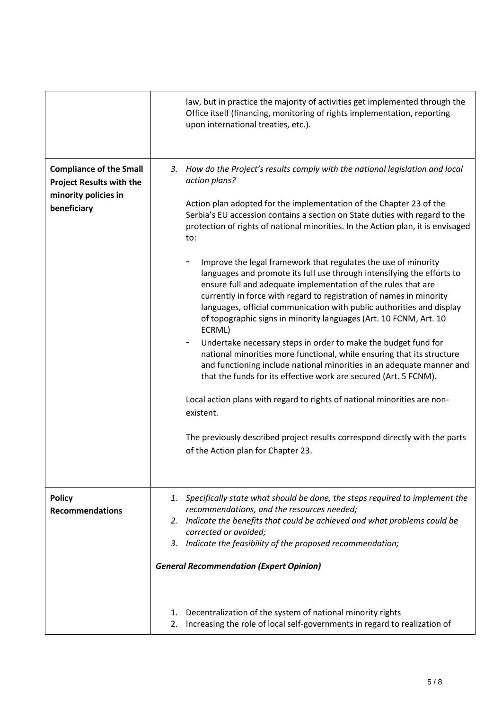|                                                                                                          | law, but in practice the majority of activities get implemented through the<br>Office itself (financing, monitoring of rights implementation, reporting<br>upon international treaties, etc.).                                                                                                                                                                                                                                                                                                                                                                                                                                                                                                                                                                                                                                                                                                                                                                                                                                                                                                                                                                                                                                                                                                         |
|----------------------------------------------------------------------------------------------------------|--------------------------------------------------------------------------------------------------------------------------------------------------------------------------------------------------------------------------------------------------------------------------------------------------------------------------------------------------------------------------------------------------------------------------------------------------------------------------------------------------------------------------------------------------------------------------------------------------------------------------------------------------------------------------------------------------------------------------------------------------------------------------------------------------------------------------------------------------------------------------------------------------------------------------------------------------------------------------------------------------------------------------------------------------------------------------------------------------------------------------------------------------------------------------------------------------------------------------------------------------------------------------------------------------------|
| <b>Compliance of the Small</b><br><b>Project Results with the</b><br>minority policies in<br>beneficiary | How do the Project's results comply with the national legislation and local<br>3.<br>action plans?<br>Action plan adopted for the implementation of the Chapter 23 of the<br>Serbia's EU accession contains a section on State duties with regard to the<br>protection of rights of national minorities. In the Action plan, it is envisaged<br>to:<br>Improve the legal framework that regulates the use of minority<br>languages and promote its full use through intensifying the efforts to<br>ensure full and adequate implementation of the rules that are<br>currently in force with regard to registration of names in minority<br>languages, official communication with public authorities and display<br>of topographic signs in minority languages (Art. 10 FCNM, Art. 10<br>ECRML)<br>Undertake necessary steps in order to make the budget fund for<br>national minorities more functional, while ensuring that its structure<br>and functioning include national minorities in an adequate manner and<br>that the funds for its effective work are secured (Art. 5 FCNM).<br>Local action plans with regard to rights of national minorities are non-<br>existent.<br>The previously described project results correspond directly with the parts<br>of the Action plan for Chapter 23. |
| <b>Policy</b><br><b>Recommendations</b>                                                                  | 1. Specifically state what should be done, the steps required to implement the<br>recommendations, and the resources needed;<br>2. Indicate the benefits that could be achieved and what problems could be<br>corrected or avoided;<br>3. Indicate the feasibility of the proposed recommendation;<br><b>General Recommendation (Expert Opinion)</b><br>Decentralization of the system of national minority rights<br>1.<br>Increasing the role of local self-governments in regard to realization of<br>2.                                                                                                                                                                                                                                                                                                                                                                                                                                                                                                                                                                                                                                                                                                                                                                                            |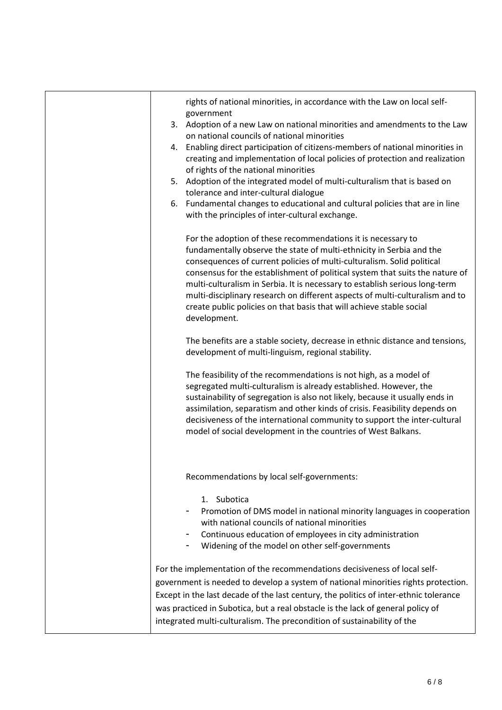| rights of national minorities, in accordance with the Law on local self-<br>government                                                                                                                                                                                                                                                                                                                                                                                                                                                                |
|-------------------------------------------------------------------------------------------------------------------------------------------------------------------------------------------------------------------------------------------------------------------------------------------------------------------------------------------------------------------------------------------------------------------------------------------------------------------------------------------------------------------------------------------------------|
| 3. Adoption of a new Law on national minorities and amendments to the Law<br>on national councils of national minorities                                                                                                                                                                                                                                                                                                                                                                                                                              |
| 4. Enabling direct participation of citizens-members of national minorities in<br>creating and implementation of local policies of protection and realization                                                                                                                                                                                                                                                                                                                                                                                         |
| of rights of the national minorities<br>5. Adoption of the integrated model of multi-culturalism that is based on                                                                                                                                                                                                                                                                                                                                                                                                                                     |
| tolerance and inter-cultural dialogue                                                                                                                                                                                                                                                                                                                                                                                                                                                                                                                 |
| 6. Fundamental changes to educational and cultural policies that are in line<br>with the principles of inter-cultural exchange.                                                                                                                                                                                                                                                                                                                                                                                                                       |
| For the adoption of these recommendations it is necessary to<br>fundamentally observe the state of multi-ethnicity in Serbia and the<br>consequences of current policies of multi-culturalism. Solid political<br>consensus for the establishment of political system that suits the nature of<br>multi-culturalism in Serbia. It is necessary to establish serious long-term<br>multi-disciplinary research on different aspects of multi-culturalism and to<br>create public policies on that basis that will achieve stable social<br>development. |
| The benefits are a stable society, decrease in ethnic distance and tensions,<br>development of multi-linguism, regional stability.                                                                                                                                                                                                                                                                                                                                                                                                                    |
| The feasibility of the recommendations is not high, as a model of<br>segregated multi-culturalism is already established. However, the<br>sustainability of segregation is also not likely, because it usually ends in<br>assimilation, separatism and other kinds of crisis. Feasibility depends on<br>decisiveness of the international community to support the inter-cultural<br>model of social development in the countries of West Balkans.                                                                                                    |
| Recommendations by local self-governments:                                                                                                                                                                                                                                                                                                                                                                                                                                                                                                            |
| Subotica<br>1.<br>Promotion of DMS model in national minority languages in cooperation<br>with national councils of national minorities<br>Continuous education of employees in city administration<br>Widening of the model on other self-governments                                                                                                                                                                                                                                                                                                |
| For the implementation of the recommendations decisiveness of local self-<br>government is needed to develop a system of national minorities rights protection.<br>Except in the last decade of the last century, the politics of inter-ethnic tolerance<br>was practiced in Subotica, but a real obstacle is the lack of general policy of<br>integrated multi-culturalism. The precondition of sustainability of the                                                                                                                                |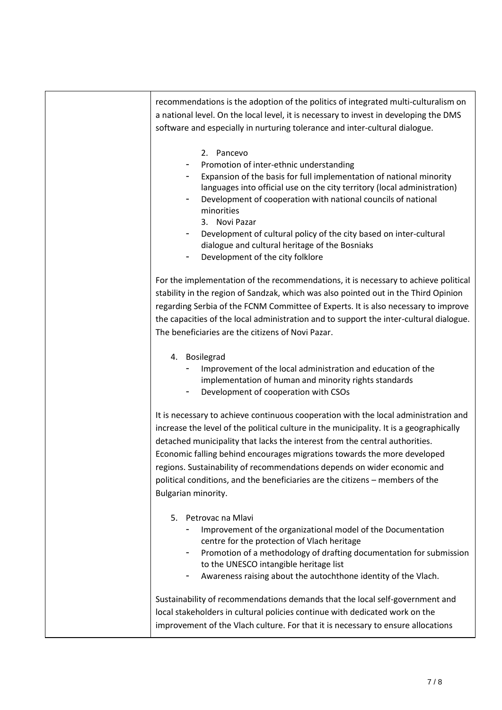| recommendations is the adoption of the politics of integrated multi-culturalism on<br>a national level. On the local level, it is necessary to invest in developing the DMS<br>software and especially in nurturing tolerance and inter-cultural dialogue.                                                                                                                                                                                                                                                                    |
|-------------------------------------------------------------------------------------------------------------------------------------------------------------------------------------------------------------------------------------------------------------------------------------------------------------------------------------------------------------------------------------------------------------------------------------------------------------------------------------------------------------------------------|
| 2. Pancevo<br>Promotion of inter-ethnic understanding<br>Expansion of the basis for full implementation of national minority<br>languages into official use on the city territory (local administration)<br>Development of cooperation with national councils of national<br>minorities<br>3. Novi Pazar<br>Development of cultural policy of the city based on inter-cultural<br>dialogue and cultural heritage of the Bosniaks<br>Development of the city folklore                                                          |
| For the implementation of the recommendations, it is necessary to achieve political<br>stability in the region of Sandzak, which was also pointed out in the Third Opinion<br>regarding Serbia of the FCNM Committee of Experts. It is also necessary to improve<br>the capacities of the local administration and to support the inter-cultural dialogue.<br>The beneficiaries are the citizens of Novi Pazar.                                                                                                               |
| 4. Bosilegrad<br>Improvement of the local administration and education of the<br>implementation of human and minority rights standards<br>Development of cooperation with CSOs                                                                                                                                                                                                                                                                                                                                                |
| It is necessary to achieve continuous cooperation with the local administration and<br>increase the level of the political culture in the municipality. It is a geographically<br>detached municipality that lacks the interest from the central authorities.<br>Economic falling behind encourages migrations towards the more developed<br>regions. Sustainability of recommendations depends on wider economic and<br>political conditions, and the beneficiaries are the citizens - members of the<br>Bulgarian minority. |
| Petrovac na Mlavi<br>5.<br>Improvement of the organizational model of the Documentation<br>centre for the protection of Vlach heritage<br>Promotion of a methodology of drafting documentation for submission<br>to the UNESCO intangible heritage list<br>Awareness raising about the autochthone identity of the Vlach.                                                                                                                                                                                                     |
| Sustainability of recommendations demands that the local self-government and<br>local stakeholders in cultural policies continue with dedicated work on the<br>improvement of the Vlach culture. For that it is necessary to ensure allocations                                                                                                                                                                                                                                                                               |